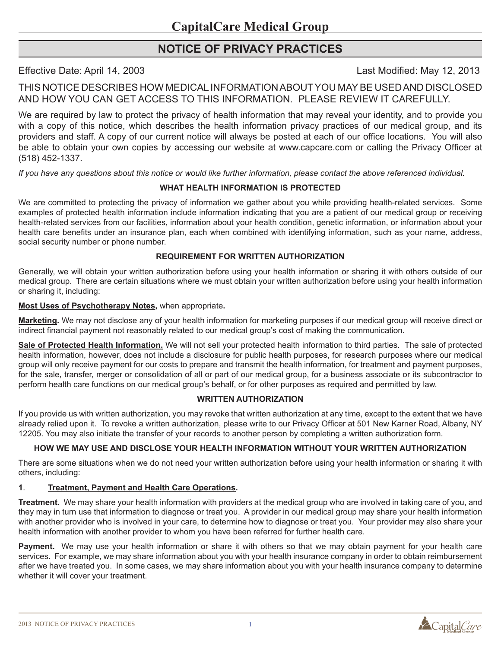# **Notice of Privacy Practices**

Effective Date: April 14, 2003 Last Modified: May 12, 2013

THIS NOTICE DESCRIBES HOW MEDICAL INFORMATION ABOUT YOU MAY BE USED AND DISCLOSED AND HOW YOU CAN GET ACCESS TO THIS INFORMATION. PLEASE REVIEW IT CAREFULLY.

We are required by law to protect the privacy of health information that may reveal your identity, and to provide you with a copy of this notice, which describes the health information privacy practices of our medical group, and its providers and staff. A copy of our current notice will always be posted at each of our office locations. You will also be able to obtain your own copies by accessing our website at www.capcare.com or calling the Privacy Officer at (518) 452-1337.

*If you have any questions about this notice or would like further information, please contact the above referenced individual.* 

## **WHAT HEALTH INFORMATION IS PROTECTED**

We are committed to protecting the privacy of information we gather about you while providing health-related services. Some examples of protected health information include information indicating that you are a patient of our medical group or receiving health-related services from our facilities, information about your health condition, genetic information, or information about your health care benefits under an insurance plan, each when combined with identifying information, such as your name, address, social security number or phone number.

### **REQUIREMENT FOR WRITTEN AUTHORIZATION**

Generally, we will obtain your written authorization before using your health information or sharing it with others outside of our medical group. There are certain situations where we must obtain your written authorization before using your health information or sharing it, including:

**Most Uses of Psychotherapy Notes,** when appropriate**.**

**Marketing.** We may not disclose any of your health information for marketing purposes if our medical group will receive direct or indirect financial payment not reasonably related to our medical group's cost of making the communication.

**Sale of Protected Health Information.** We will not sell your protected health information to third parties. The sale of protected health information, however, does not include a disclosure for public health purposes, for research purposes where our medical group will only receive payment for our costs to prepare and transmit the health information, for treatment and payment purposes, for the sale, transfer, merger or consolidation of all or part of our medical group, for a business associate or its subcontractor to perform health care functions on our medical group's behalf, or for other purposes as required and permitted by law.

### **WRITTEN AUTHORIZATION**

If you provide us with written authorization, you may revoke that written authorization at any time, except to the extent that we have already relied upon it. To revoke a written authorization, please write to our Privacy Officer at 501 New Karner Road, Albany, NY 12205. You may also initiate the transfer of your records to another person by completing a written authorization form.

### **HOW WE MAY USE AND DISCLOSE YOUR HEALTH INFORMATION WITHOUT YOUR WRITTEN AUTHORIZATION**

There are some situations when we do not need your written authorization before using your health information or sharing it with others, including:

### **1**. **Treatment, Payment and Health Care Operations.**

**Treatment.** We may share your health information with providers at the medical group who are involved in taking care of you, and they may in turn use that information to diagnose or treat you. A provider in our medical group may share your health information with another provider who is involved in your care, to determine how to diagnose or treat you. Your provider may also share your health information with another provider to whom you have been referred for further health care.

**Payment.** We may use your health information or share it with others so that we may obtain payment for your health care services. For example, we may share information about you with your health insurance company in order to obtain reimbursement after we have treated you. In some cases, we may share information about you with your health insurance company to determine whether it will cover your treatment.

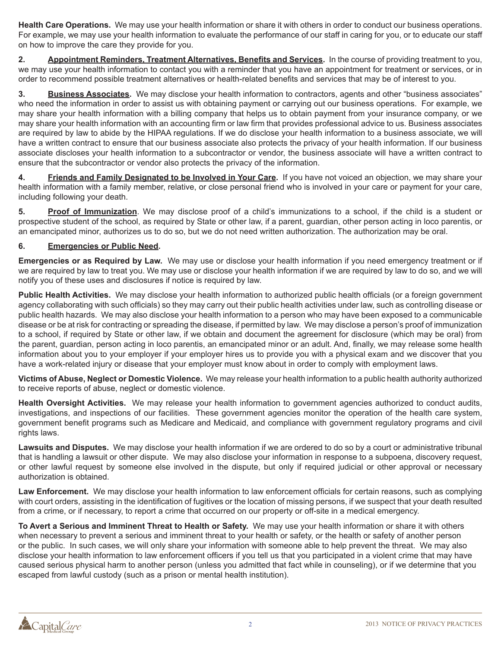**Health Care Operations.** We may use your health information or share it with others in order to conduct our business operations. For example, we may use your health information to evaluate the performance of our staff in caring for you, or to educate our staff on how to improve the care they provide for you.

**2. Appointment Reminders, Treatment Alternatives, Benefits and Services.** In the course of providing treatment to you, we may use your health information to contact you with a reminder that you have an appointment for treatment or services, or in order to recommend possible treatment alternatives or health-related benefits and services that may be of interest to you.

**3. Business Associates.** We may disclose your health information to contractors, agents and other "business associates" who need the information in order to assist us with obtaining payment or carrying out our business operations. For example, we may share your health information with a billing company that helps us to obtain payment from your insurance company, or we may share your health information with an accounting firm or law firm that provides professional advice to us. Business associates are required by law to abide by the HIPAA regulations. If we do disclose your health information to a business associate, we will have a written contract to ensure that our business associate also protects the privacy of your health information. If our business associate discloses your health information to a subcontractor or vendor, the business associate will have a written contract to ensure that the subcontractor or vendor also protects the privacy of the information.

**4. Friends and Family Designated to be Involved in Your Care.** If you have not voiced an objection, we may share your health information with a family member, relative, or close personal friend who is involved in your care or payment for your care, including following your death.

**5. Proof of Immunization**. We may disclose proof of a child's immunizations to a school, if the child is a student or prospective student of the school, as required by State or other law, if a parent, guardian, other person acting in loco parentis, or an emancipated minor, authorizes us to do so, but we do not need written authorization. The authorization may be oral.

### **6. Emergencies or Public Need.**

**Emergencies or as Required by Law.** We may use or disclose your health information if you need emergency treatment or if we are required by law to treat you. We may use or disclose your health information if we are required by law to do so, and we will notify you of these uses and disclosures if notice is required by law.

**Public Health Activities.** We may disclose your health information to authorized public health officials (or a foreign government agency collaborating with such officials) so they may carry out their public health activities under law, such as controlling disease or public health hazards. We may also disclose your health information to a person who may have been exposed to a communicable disease or be at risk for contracting or spreading the disease, if permitted by law. We may disclose a person's proof of immunization to a school, if required by State or other law, if we obtain and document the agreement for disclosure (which may be oral) from the parent, guardian, person acting in loco parentis, an emancipated minor or an adult. And, finally, we may release some health information about you to your employer if your employer hires us to provide you with a physical exam and we discover that you have a work-related injury or disease that your employer must know about in order to comply with employment laws.

**Victims of Abuse, Neglect or Domestic Violence.** We may release your health information to a public health authority authorized to receive reports of abuse, neglect or domestic violence.

**Health Oversight Activities.** We may release your health information to government agencies authorized to conduct audits, investigations, and inspections of our facilities. These government agencies monitor the operation of the health care system, government benefit programs such as Medicare and Medicaid, and compliance with government regulatory programs and civil rights laws.

**Lawsuits and Disputes.** We may disclose your health information if we are ordered to do so by a court or administrative tribunal that is handling a lawsuit or other dispute. We may also disclose your information in response to a subpoena, discovery request, or other lawful request by someone else involved in the dispute, but only if required judicial or other approval or necessary authorization is obtained.

**Law Enforcement.** We may disclose your health information to law enforcement officials for certain reasons, such as complying with court orders, assisting in the identification of fugitives or the location of missing persons, if we suspect that your death resulted from a crime, or if necessary, to report a crime that occurred on our property or off-site in a medical emergency.

**To Avert a Serious and Imminent Threat to Health or Safety.** We may use your health information or share it with others when necessary to prevent a serious and imminent threat to your health or safety, or the health or safety of another person or the public. In such cases, we will only share your information with someone able to help prevent the threat. We may also disclose your health information to law enforcement officers if you tell us that you participated in a violent crime that may have caused serious physical harm to another person (unless you admitted that fact while in counseling), or if we determine that you escaped from lawful custody (such as a prison or mental health institution).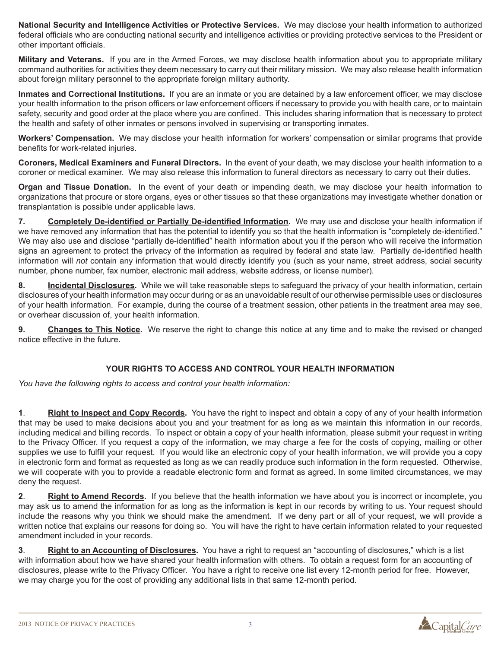**National Security and Intelligence Activities or Protective Services.** We may disclose your health information to authorized federal officials who are conducting national security and intelligence activities or providing protective services to the President or other important officials.

**Military and Veterans.** If you are in the Armed Forces, we may disclose health information about you to appropriate military command authorities for activities they deem necessary to carry out their military mission. We may also release health information about foreign military personnel to the appropriate foreign military authority.

**Inmates and Correctional Institutions.** If you are an inmate or you are detained by a law enforcement officer, we may disclose your health information to the prison officers or law enforcement officers if necessary to provide you with health care, or to maintain safety, security and good order at the place where you are confined. This includes sharing information that is necessary to protect the health and safety of other inmates or persons involved in supervising or transporting inmates.

**Workers' Compensation.** We may disclose your health information for workers' compensation or similar programs that provide benefits for work-related injuries.

**Coroners, Medical Examiners and Funeral Directors.** In the event of your death, we may disclose your health information to a coroner or medical examiner. We may also release this information to funeral directors as necessary to carry out their duties.

**Organ and Tissue Donation.** In the event of your death or impending death, we may disclose your health information to organizations that procure or store organs, eyes or other tissues so that these organizations may investigate whether donation or transplantation is possible under applicable laws.

**7. Completely De-identified or Partially De-identified Information.** We may use and disclose your health information if we have removed any information that has the potential to identify you so that the health information is "completely de-identified." We may also use and disclose "partially de-identified" health information about you if the person who will receive the information signs an agreement to protect the privacy of the information as required by federal and state law. Partially de-identified health information will *not* contain any information that would directly identify you (such as your name, street address, social security number, phone number, fax number, electronic mail address, website address, or license number).

**8. Incidental Disclosures.** While we will take reasonable steps to safeguard the privacy of your health information, certain disclosures of your health information may occur during or as an unavoidable result of our otherwise permissible uses or disclosures of your health information. For example, during the course of a treatment session, other patients in the treatment area may see, or overhear discussion of, your health information.

**9. Changes to This Notice.** We reserve the right to change this notice at any time and to make the revised or changed notice effective in the future.

### **YOUR RIGHTS TO ACCESS AND CONTROL YOUR HEALTH INFORMATION**

*You have the following rights to access and control your health information:*

**1**. **Right to Inspect and Copy Records.** You have the right to inspect and obtain a copy of any of your health information that may be used to make decisions about you and your treatment for as long as we maintain this information in our records, including medical and billing records. To inspect or obtain a copy of your health information, please submit your request in writing to the Privacy Officer. If you request a copy of the information, we may charge a fee for the costs of copying, mailing or other supplies we use to fulfill your request. If you would like an electronic copy of your health information, we will provide you a copy in electronic form and format as requested as long as we can readily produce such information in the form requested. Otherwise, we will cooperate with you to provide a readable electronic form and format as agreed. In some limited circumstances, we may deny the request.

**2**. **Right to Amend Records.** If you believe that the health information we have about you is incorrect or incomplete, you may ask us to amend the information for as long as the information is kept in our records by writing to us. Your request should include the reasons why you think we should make the amendment. If we deny part or all of your request, we will provide a written notice that explains our reasons for doing so. You will have the right to have certain information related to your requested amendment included in your records.

**3**. **Right to an Accounting of Disclosures.** You have a right to request an "accounting of disclosures," which is a list with information about how we have shared your health information with others. To obtain a request form for an accounting of disclosures, please write to the Privacy Officer. You have a right to receive one list every 12-month period for free. However, we may charge you for the cost of providing any additional lists in that same 12-month period.